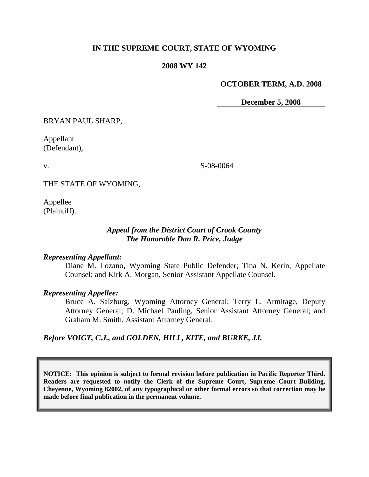### **IN THE SUPREME COURT, STATE OF WYOMING**

### **2008 WY 142**

### **OCTOBER TERM, A.D. 2008**

**December 5, 2008**

BRYAN PAUL SHARP,

Appellant (Defendant),

v.

S-08-0064

THE STATE OF WYOMING,

Appellee (Plaintiff).

### *Appeal from the District Court of Crook County The Honorable Dan R. Price, Judge*

#### *Representing Appellant:*

Diane M. Lozano, Wyoming State Public Defender; Tina N. Kerin, Appellate Counsel; and Kirk A. Morgan, Senior Assistant Appellate Counsel.

#### *Representing Appellee:*

Bruce A. Salzburg, Wyoming Attorney General; Terry L. Armitage, Deputy Attorney General; D. Michael Pauling, Senior Assistant Attorney General; and Graham M. Smith, Assistant Attorney General.

*Before VOIGT, C.J., and GOLDEN, HILL, KITE, and BURKE, JJ.*

**NOTICE: This opinion is subject to formal revision before publication in Pacific Reporter Third. Readers are requested to notify the Clerk of the Supreme Court, Supreme Court Building, Cheyenne, Wyoming 82002, of any typographical or other formal errors so that correction may be made before final publication in the permanent volume.**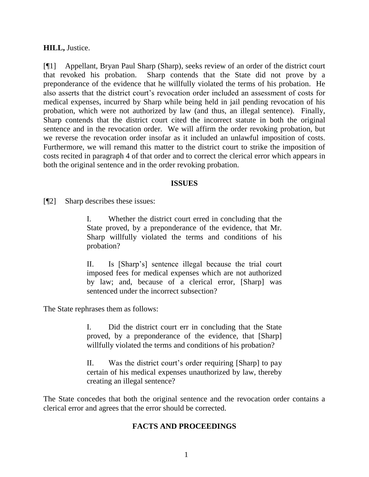**HILL,** Justice.

[¶1] Appellant, Bryan Paul Sharp (Sharp), seeks review of an order of the district court that revoked his probation. Sharp contends that the State did not prove by a preponderance of the evidence that he willfully violated the terms of his probation. He also asserts that the district court's revocation order included an assessment of costs for medical expenses, incurred by Sharp while being held in jail pending revocation of his probation, which were not authorized by law (and thus, an illegal sentence). Finally, Sharp contends that the district court cited the incorrect statute in both the original sentence and in the revocation order. We will affirm the order revoking probation, but we reverse the revocation order insofar as it included an unlawful imposition of costs. Furthermore, we will remand this matter to the district court to strike the imposition of costs recited in paragraph 4 of that order and to correct the clerical error which appears in both the original sentence and in the order revoking probation.

### **ISSUES**

[¶2] Sharp describes these issues:

I. Whether the district court erred in concluding that the State proved, by a preponderance of the evidence, that Mr. Sharp willfully violated the terms and conditions of his probation?

II. Is [Sharp's] sentence illegal because the trial court imposed fees for medical expenses which are not authorized by law; and, because of a clerical error, [Sharp] was sentenced under the incorrect subsection?

The State rephrases them as follows:

I. Did the district court err in concluding that the State proved, by a preponderance of the evidence, that [Sharp] willfully violated the terms and conditions of his probation?

II. Was the district court's order requiring [Sharp] to pay certain of his medical expenses unauthorized by law, thereby creating an illegal sentence?

The State concedes that both the original sentence and the revocation order contains a clerical error and agrees that the error should be corrected.

## **FACTS AND PROCEEDINGS**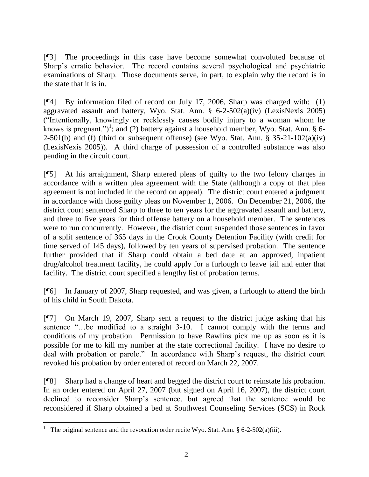[¶3] The proceedings in this case have become somewhat convoluted because of Sharp's erratic behavior. The record contains several psychological and psychiatric examinations of Sharp. Those documents serve, in part, to explain why the record is in the state that it is in.

[¶4] By information filed of record on July 17, 2006, Sharp was charged with: (1) aggravated assault and battery, Wyo. Stat. Ann. § 6-2-502(a)(iv) (LexisNexis 2005) ("Intentionally, knowingly or recklessly causes bodily injury to a woman whom he knows is pregnant.")<sup>1</sup>; and (2) battery against a household member, Wyo. Stat. Ann. § 6-2-501(b) and (f) (third or subsequent offense) (see Wyo. Stat. Ann.  $\S$  35-21-102(a)(iv) (LexisNexis 2005)). A third charge of possession of a controlled substance was also pending in the circuit court.

[¶5] At his arraignment, Sharp entered pleas of guilty to the two felony charges in accordance with a written plea agreement with the State (although a copy of that plea agreement is not included in the record on appeal). The district court entered a judgment in accordance with those guilty pleas on November 1, 2006. On December 21, 2006, the district court sentenced Sharp to three to ten years for the aggravated assault and battery, and three to five years for third offense battery on a household member. The sentences were to run concurrently. However, the district court suspended those sentences in favor of a split sentence of 365 days in the Crook County Detention Facility (with credit for time served of 145 days), followed by ten years of supervised probation. The sentence further provided that if Sharp could obtain a bed date at an approved, inpatient drug/alcohol treatment facility, he could apply for a furlough to leave jail and enter that facility. The district court specified a lengthy list of probation terms.

[¶6] In January of 2007, Sharp requested, and was given, a furlough to attend the birth of his child in South Dakota.

[¶7] On March 19, 2007, Sharp sent a request to the district judge asking that his sentence "...be modified to a straight 3-10. I cannot comply with the terms and conditions of my probation. Permission to have Rawlins pick me up as soon as it is possible for me to kill my number at the state correctional facility. I have no desire to deal with probation or parole." In accordance with Sharp's request, the district court revoked his probation by order entered of record on March 22, 2007.

[¶8] Sharp had a change of heart and begged the district court to reinstate his probation. In an order entered on April 27, 2007 (but signed on April 16, 2007), the district court declined to reconsider Sharp's sentence, but agreed that the sentence would be reconsidered if Sharp obtained a bed at Southwest Counseling Services (SCS) in Rock

<sup>1</sup> The original sentence and the revocation order recite Wyo. Stat. Ann. § 6-2-502(a)(iii).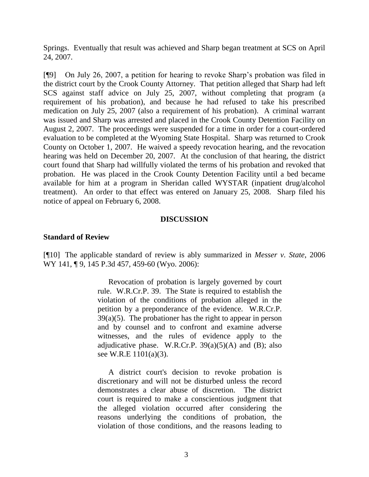Springs. Eventually that result was achieved and Sharp began treatment at SCS on April 24, 2007.

[¶9] On July 26, 2007, a petition for hearing to revoke Sharp's probation was filed in the district court by the Crook County Attorney. That petition alleged that Sharp had left SCS against staff advice on July 25, 2007, without completing that program (a requirement of his probation), and because he had refused to take his prescribed medication on July 25, 2007 (also a requirement of his probation). A criminal warrant was issued and Sharp was arrested and placed in the Crook County Detention Facility on August 2, 2007. The proceedings were suspended for a time in order for a court-ordered evaluation to be completed at the Wyoming State Hospital. Sharp was returned to Crook County on October 1, 2007. He waived a speedy revocation hearing, and the revocation hearing was held on December 20, 2007. At the conclusion of that hearing, the district court found that Sharp had willfully violated the terms of his probation and revoked that probation. He was placed in the Crook County Detention Facility until a bed became available for him at a program in Sheridan called WYSTAR (inpatient drug/alcohol treatment). An order to that effect was entered on January 25, 2008. Sharp filed his notice of appeal on February 6, 2008.

#### **DISCUSSION**

### **Standard of Review**

[¶10] The applicable standard of review is ably summarized in *Messer v. State*, 2006 WY 141, 19, 145 P.3d 457, 459-60 (Wyo. 2006):

> Revocation of probation is largely governed by court rule. W.R.Cr.P. 39. The State is required to establish the violation of the conditions of probation alleged in the petition by a preponderance of the evidence. W.R.Cr.P.  $39(a)(5)$ . The probationer has the right to appear in person and by counsel and to confront and examine adverse witnesses, and the rules of evidence apply to the adjudicative phase. W.R.Cr.P.  $39(a)(5)(A)$  and (B); also see W.R.E 1101(a)(3).

> A district court's decision to revoke probation is discretionary and will not be disturbed unless the record demonstrates a clear abuse of discretion. The district court is required to make a conscientious judgment that the alleged violation occurred after considering the reasons underlying the conditions of probation, the violation of those conditions, and the reasons leading to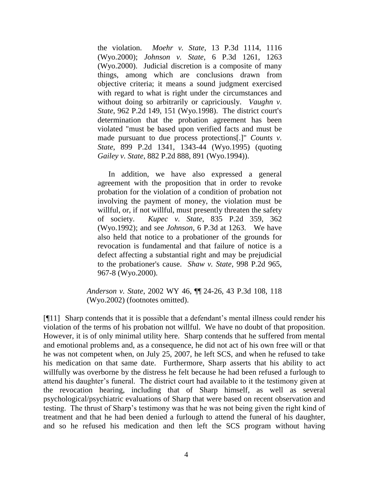the violation. *Moehr v. State*, 13 P.3d 1114, 1116 (Wyo.2000); *Johnson v. State*, 6 P.3d 1261, 1263 (Wyo.2000). Judicial discretion is a composite of many things, among which are conclusions drawn from objective criteria; it means a sound judgment exercised with regard to what is right under the circumstances and without doing so arbitrarily or capriciously. *Vaughn v. State*, 962 P.2d 149, 151 (Wyo.1998). The district court's determination that the probation agreement has been violated "must be based upon verified facts and must be made pursuant to due process protections[.]" *Counts v. State*, 899 P.2d 1341, 1343-44 (Wyo.1995) (quoting *Gailey v. State*, 882 P.2d 888, 891 (Wyo.1994)).

In addition, we have also expressed a general agreement with the proposition that in order to revoke probation for the violation of a condition of probation not involving the payment of money, the violation must be willful, or, if not willful, must presently threaten the safety of society. *Kupec v. State*, 835 P.2d 359, 362 (Wyo.1992); and see *Johnson*, 6 P.3d at 1263. We have also held that notice to a probationer of the grounds for revocation is fundamental and that failure of notice is a defect affecting a substantial right and may be prejudicial to the probationer's cause. *Shaw v. State*, 998 P.2d 965, 967-8 (Wyo.2000).

*Anderson v. State*, 2002 WY 46, ¶¶ 24-26, 43 P.3d 108, 118 (Wyo.2002) (footnotes omitted).

[¶11] Sharp contends that it is possible that a defendant's mental illness could render his violation of the terms of his probation not willful. We have no doubt of that proposition. However, it is of only minimal utility here. Sharp contends that he suffered from mental and emotional problems and, as a consequence, he did not act of his own free will or that he was not competent when, on July 25, 2007, he left SCS, and when he refused to take his medication on that same date. Furthermore, Sharp asserts that his ability to act willfully was overborne by the distress he felt because he had been refused a furlough to attend his daughter's funeral. The district court had available to it the testimony given at the revocation hearing, including that of Sharp himself, as well as several psychological/psychiatric evaluations of Sharp that were based on recent observation and testing. The thrust of Sharp's testimony was that he was not being given the right kind of treatment and that he had been denied a furlough to attend the funeral of his daughter, and so he refused his medication and then left the SCS program without having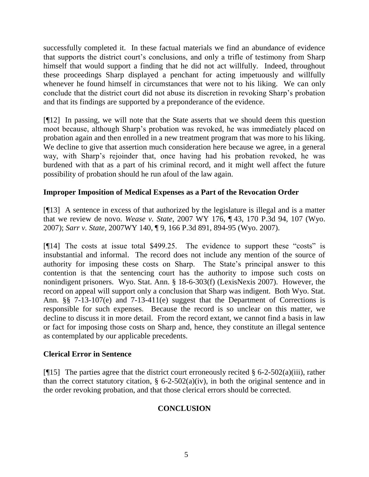successfully completed it. In these factual materials we find an abundance of evidence that supports the district court's conclusions, and only a trifle of testimony from Sharp himself that would support a finding that he did not act willfully. Indeed, throughout these proceedings Sharp displayed a penchant for acting impetuously and willfully whenever he found himself in circumstances that were not to his liking. We can only conclude that the district court did not abuse its discretion in revoking Sharp's probation and that its findings are supported by a preponderance of the evidence.

[¶12] In passing, we will note that the State asserts that we should deem this question moot because, although Sharp's probation was revoked, he was immediately placed on probation again and then enrolled in a new treatment program that was more to his liking. We decline to give that assertion much consideration here because we agree, in a general way, with Sharp's rejoinder that, once having had his probation revoked, he was burdened with that as a part of his criminal record, and it might well affect the future possibility of probation should he run afoul of the law again.

## **Improper Imposition of Medical Expenses as a Part of the Revocation Order**

[¶13] A sentence in excess of that authorized by the legislature is illegal and is a matter that we review de novo. *Wease v. State*, 2007 WY 176, ¶ 43, 170 P.3d 94, 107 (Wyo. 2007); *Sarr v. State*, 2007WY 140, ¶ 9, 166 P.3d 891, 894-95 (Wyo. 2007).

[¶14] The costs at issue total \$499.25. The evidence to support these "costs" is insubstantial and informal. The record does not include any mention of the source of authority for imposing these costs on Sharp. The State's principal answer to this contention is that the sentencing court has the authority to impose such costs on nonindigent prisoners. Wyo. Stat. Ann. § 18-6-303(f) (LexisNexis 2007). However, the record on appeal will support only a conclusion that Sharp was indigent. Both Wyo. Stat. Ann. §§ 7-13-107(e) and 7-13-411(e) suggest that the Department of Corrections is responsible for such expenses. Because the record is so unclear on this matter, we decline to discuss it in more detail. From the record extant, we cannot find a basis in law or fact for imposing those costs on Sharp and, hence, they constitute an illegal sentence as contemplated by our applicable precedents.

## **Clerical Error in Sentence**

[ $\P$ 15] The parties agree that the district court erroneously recited § 6-2-502(a)(iii), rather than the correct statutory citation,  $\S$  6-2-502(a)(iv), in both the original sentence and in the order revoking probation, and that those clerical errors should be corrected.

# **CONCLUSION**